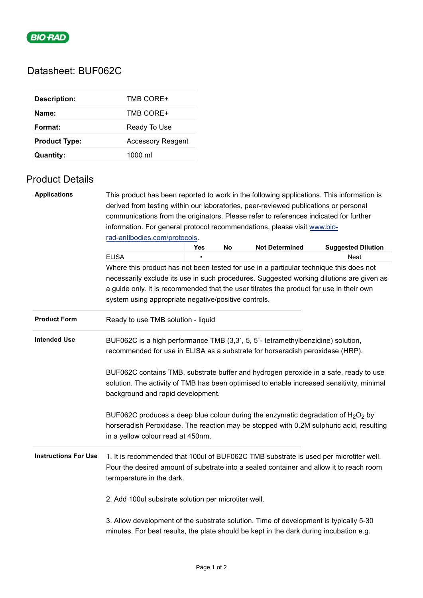

# Datasheet: BUF062C

| <b>Description:</b>  | TMB CORE+                |
|----------------------|--------------------------|
| Name:                | TMB CORE+                |
| Format:              | Ready To Use             |
| <b>Product Type:</b> | <b>Accessory Reagent</b> |
| Quantity:            | $1000 \mathrm{m}$        |

### Product Details

| <b>Applications</b>                                                                                                                                                                                                 | This product has been reported to work in the following applications. This information is<br>derived from testing within our laboratories, peer-reviewed publications or personal                                                                                                                                                                                                          |            |    |                       |                           |  |  |  |
|---------------------------------------------------------------------------------------------------------------------------------------------------------------------------------------------------------------------|--------------------------------------------------------------------------------------------------------------------------------------------------------------------------------------------------------------------------------------------------------------------------------------------------------------------------------------------------------------------------------------------|------------|----|-----------------------|---------------------------|--|--|--|
|                                                                                                                                                                                                                     | communications from the originators. Please refer to references indicated for further                                                                                                                                                                                                                                                                                                      |            |    |                       |                           |  |  |  |
|                                                                                                                                                                                                                     | information. For general protocol recommendations, please visit www.bio-                                                                                                                                                                                                                                                                                                                   |            |    |                       |                           |  |  |  |
|                                                                                                                                                                                                                     | rad-antibodies.com/protocols.                                                                                                                                                                                                                                                                                                                                                              |            |    |                       |                           |  |  |  |
|                                                                                                                                                                                                                     |                                                                                                                                                                                                                                                                                                                                                                                            | <b>Yes</b> | No | <b>Not Determined</b> | <b>Suggested Dilution</b> |  |  |  |
|                                                                                                                                                                                                                     | <b>ELISA</b>                                                                                                                                                                                                                                                                                                                                                                               |            |    |                       | Neat                      |  |  |  |
|                                                                                                                                                                                                                     | Where this product has not been tested for use in a particular technique this does not                                                                                                                                                                                                                                                                                                     |            |    |                       |                           |  |  |  |
|                                                                                                                                                                                                                     | necessarily exclude its use in such procedures. Suggested working dilutions are given as<br>a guide only. It is recommended that the user titrates the product for use in their own<br>system using appropriate negative/positive controls.                                                                                                                                                |            |    |                       |                           |  |  |  |
|                                                                                                                                                                                                                     |                                                                                                                                                                                                                                                                                                                                                                                            |            |    |                       |                           |  |  |  |
|                                                                                                                                                                                                                     |                                                                                                                                                                                                                                                                                                                                                                                            |            |    |                       |                           |  |  |  |
|                                                                                                                                                                                                                     |                                                                                                                                                                                                                                                                                                                                                                                            |            |    |                       |                           |  |  |  |
| <b>Product Form</b>                                                                                                                                                                                                 | Ready to use TMB solution - liquid                                                                                                                                                                                                                                                                                                                                                         |            |    |                       |                           |  |  |  |
| <b>Intended Use</b>                                                                                                                                                                                                 | BUF062C is a high performance TMB (3,3', 5, 5'- tetramethylbenzidine) solution,<br>recommended for use in ELISA as a substrate for horseradish peroxidase (HRP).<br>BUF062C contains TMB, substrate buffer and hydrogen peroxide in a safe, ready to use<br>solution. The activity of TMB has been optimised to enable increased sensitivity, minimal<br>background and rapid development. |            |    |                       |                           |  |  |  |
|                                                                                                                                                                                                                     |                                                                                                                                                                                                                                                                                                                                                                                            |            |    |                       |                           |  |  |  |
| BUF062C produces a deep blue colour during the enzymatic degradation of $H_2O_2$ by<br>horseradish Peroxidase. The reaction may be stopped with 0.2M sulphuric acid, resulting<br>in a yellow colour read at 450nm. |                                                                                                                                                                                                                                                                                                                                                                                            |            |    |                       |                           |  |  |  |
| <b>Instructions For Use</b>                                                                                                                                                                                         | 1. It is recommended that 100ul of BUF062C TMB substrate is used per microtiter well.<br>Pour the desired amount of substrate into a sealed container and allow it to reach room<br>termperature in the dark.                                                                                                                                                                              |            |    |                       |                           |  |  |  |
|                                                                                                                                                                                                                     | 2. Add 100ul substrate solution per microtiter well.                                                                                                                                                                                                                                                                                                                                       |            |    |                       |                           |  |  |  |
|                                                                                                                                                                                                                     | 3. Allow development of the substrate solution. Time of development is typically 5-30<br>minutes. For best results, the plate should be kept in the dark during incubation e.g.                                                                                                                                                                                                            |            |    |                       |                           |  |  |  |